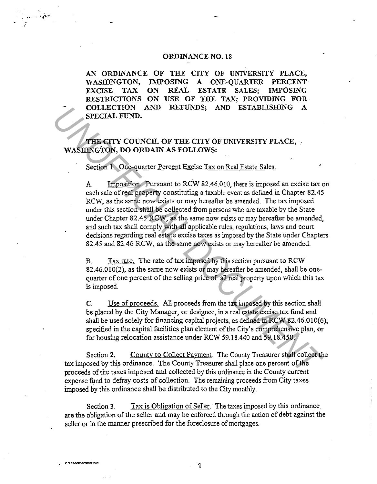## ORDINANCE NO. 18

AN ORDINANCE OF THE CITY OF UNIVERSITY PLACE, WASHINGTON, IMPOSING A ONE-OUARTER PERCENT EXCISE TAX ON REAL ESTATE SALES; IMPOSING RESTRICTIONS ON USE OF THE TAX; PROVIDING FOR COLLECTION AND REFUNDS; AND ESTABLISHING A SPECIAL FUND.

## THE CITY COUNCIL OF THE CITY OF UNIVERSITY PLACE, WASHINGTON, DO ORDAIN AS FOLLOWS: .

## Section 1. One-quarter Percent Excise Tax on Real Estate Sales.

A. Imposition. Pursuant to RCW 82.46.010, there is imposed an excise tax on each sale of real property constituting a taxable event as defined in Chapter 82.45 RCW, as the same now exists or may hereafter be amended. The tax imposed under this section shall be collected from persons who are taxable by the State under Chapter 82.45 RCW, as the same now exists or may hereafter be amended, and such tax shall comply with all applicable rules, regulations, laws and court decisions regarding real estate excise taxes as imposed by the State under Chapters 82.45 and 82.46 RCW, as the same now exists or may hereafter be amended. **COLLECTION AND REFUNDS;** AND ESTABLISHING A<br> **STECIAL FUND.**<br> **UNIDENTY COUNCIL OF THE CITY OF UNIVERSITY PLACE,**<br> **WASHINGTON, DO ORDAIN AS FOLLOWS:**<br>
Section 1. One-quarter Percent Excise Tax on Real Estate Sales,<br>
A. I

B. Tax rate. The rate of tax imposed by this section pursuant to RCW 82.46.010(2), as the same now exists or may hereafter be amended, shall be onequarter of one percent of the selling price of all real property upon which this tax is imposed.

C. Use of proceeds. All proceeds from the tax imposed by this section shall be placed by the City Manager, or designee, in a real estate excise tax fund and shall be used solely for financing capital projects, as defined in RCW 82.46.010(6), specified in the capital facilities plan element of the City's comprehensive plan, or for housing relocation assistance under RCW 59.18.440 and 59.18.450.

Section 2. County to Collect Payment. The County Treasurer shall collect the tax imposed by this ordinance. The County Treasurer shall place one percent of the proceeds of the taxes imposed and collected by this ordinance in the County current expense fund to defray costs of collection. The remaining proceeds from City taxes imposed by this ordinance shall be distributed to the City monthly.

Section 3. Tax is Obligation of Seller. The taxes imposed by this ordinance. are the obligation of the seller and may be enforced through the action of debt against the seller or in the manner prescribed for the foreclosure of mortgages.

: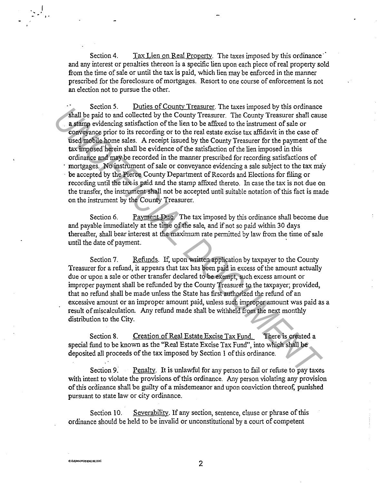Section 4. Tax Lien on Real Property. The taxes imposed by this ordinance and any interest or penalties thereon is a specific lien upon each piece of real property sold from the time of sale or until the tax is paid, which lien may be enforced in the manner prescribed for the foreclosure of mortgages. Resort to one course of enforcement is not an election not to pursue the other.

Section 5. Duties of County Treasurer. The taxes imposed by this ordinance shall be paid to and collected by the County Treasurer. The County Treasurer shall cause a stamp evidencing satisfaction of the lien to be affixed to the instrument of sale or conveyance prior to its recording or to the real estate excise tax affidavit in the case of used mobile home sales. A receipt issued by the County Treasurer for the payment of the tax imposed' herein shall be evidence of the satisfaction of the lien imposed in this ordinance and may be recorded in the manner prescribed for recording satisfactions of mortgages. No instrument of sale or conveyance evidencing a sale subject to the tax may be accepted by the Pierce County Department of Records and Elections for filing or recording until the tax is paid and the stamp affixed thereto. In case the tax is not due on the transfer, the instrument shall not be accepted until suitable notation of this fact is made on the instrument by the County Treasurer. From the control of the County Treasurer. The County Treasure of y the Some Subset of the County Treasurer. The County Treasurer shall can a conveying satisfaction of the lies to the instrument of sale of moving a single p

Section 6. Payment Due. The tax imposed by this ordinance shall become due and payable immediately at the time of the sale, and if not so paid within 30 days thereafter, shall bear interest at the maximum rate permitted by law from the time of sale until the date of payment.

Section 7. Refunds. If, upon written application by taxpayer to the County Treasurer for a refund, it appears that tax has been paid in excess of the amount actually due or upon a sale or other transfer declared to be exempt, such excess amount or improper payment shall be refunded by the County Treasurer to the taxpayer; provided, that no refund shall be made unless the State has first authorized the refund of an excessive amount or an improper amount paid, unless such improper amount was paid as a result of miscalculation. Any refund made shall be withheld from the next monthly distribution to the City.

Section 8. Creation of Real Estate Excise Tax Fund. There is created a special fund to be known as the "Real Estate Excise Tax Fund", into which shall be deposited all proceeds of the tax imposed by Section 1 of this ordinance.

Section 9. Penalty. It is unlawful for any person to fail or refuse to pay taxes with intent to violate the provisions of this ordinance. Any person violating any provision of this ordinance shall be guilty of a misdemeanor and upon conviction thereof; punished pursuant to state law or city ordinance.

Section 10. Severability. If any section, sentence, clause or phrase of this ordinance should be held to be invalid or unconstitutional by a court of competent

. '